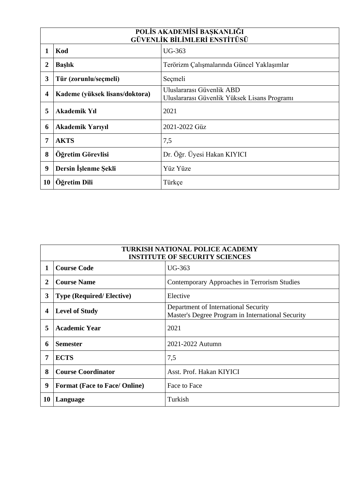| POLİS AKADEMİSİ BAŞKANLIĞI<br>GÜVENLİK BİLİMLERİ ENSTİTÜSÜ |                                |                                                                           |
|------------------------------------------------------------|--------------------------------|---------------------------------------------------------------------------|
| 1                                                          | Kod                            | <b>UG-363</b>                                                             |
| $\boldsymbol{2}$                                           | <b>Başlık</b>                  | Terörizm Çalışmalarında Güncel Yaklaşımlar                                |
| 3                                                          | Tür (zorunlu/seçmeli)          | Seçmeli                                                                   |
| $\overline{\mathbf{4}}$                                    | Kademe (yüksek lisans/doktora) | Uluslararası Güvenlik ABD<br>Uluslararası Güvenlik Yüksek Lisans Programı |
| 5                                                          | <b>Akademik Yıl</b>            | 2021                                                                      |
| 6                                                          | <b>Akademik Yarıyıl</b>        | 2021-2022 Güz                                                             |
| 7                                                          | <b>AKTS</b>                    | 7,5                                                                       |
| 8                                                          | Öğretim Görevlisi              | Dr. Öğr. Üyesi Hakan KIYICI                                               |
| 9                                                          | Dersin İşlenme Şekli           | Yüz Yüze                                                                  |
| 10                                                         | Öğretim Dili                   | Türkçe                                                                    |

| <b>TURKISH NATIONAL POLICE ACADEMY</b><br><b>INSTITUTE OF SECURITY SCIENCES</b> |                                      |                                                                                           |
|---------------------------------------------------------------------------------|--------------------------------------|-------------------------------------------------------------------------------------------|
| 1                                                                               | <b>Course Code</b>                   | <b>UG-363</b>                                                                             |
| 2                                                                               | <b>Course Name</b>                   | Contemporary Approaches in Terrorism Studies                                              |
| 3                                                                               | <b>Type (Required/Elective)</b>      | Elective                                                                                  |
| 4                                                                               | <b>Level of Study</b>                | Department of International Security<br>Master's Degree Program in International Security |
| 5                                                                               | <b>Academic Year</b>                 | 2021                                                                                      |
| 6                                                                               | <b>Semester</b>                      | 2021-2022 Autumn                                                                          |
| 7                                                                               | <b>ECTS</b>                          | 7,5                                                                                       |
| 8                                                                               | <b>Course Coordinator</b>            | Asst. Prof. Hakan KIYICI                                                                  |
| 9                                                                               | <b>Format (Face to Face/ Online)</b> | Face to Face                                                                              |
| 10                                                                              | Language                             | Turkish                                                                                   |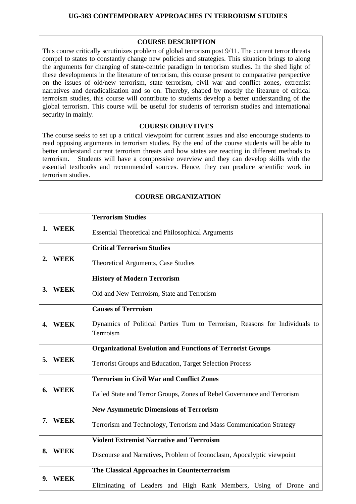## **UG-363 CONTEMPORARY APPROACHES IN TERRORISM STUDIES**

## **COURSE DESCRIPTION**

This course critically scrutinizes problem of global terrorism post 9/11. The current terror threats compel to states to constantly change new policies and strategies. This situation brings to along the arguments for changing of state-centric paradigm in terrorism studies. In the shed light of these developments in the literature of terrorism, this course present to comparative perspective on the issues of old/new terrorism, state terrorism, civil war and conflict zones, extremist narratives and deradicalisation and so on. Thereby, shaped by mostly the litearure of critical terrroism studies, this course will contribute to students develop a better understanding of the global terrorism. This course will be useful for students of terrorism studies and international security in mainly.

## **COURSE OBJEVTIVES**

The course seeks to set up a critical viewpoint for current issues and also encourage students to read opposing arguments in terrorism studies. By the end of the course students will be able to better understand current terrorism threats and how states are reacting in different methods to terrorism. Students will have a compressive overview and they can develop skills with the essential textbooks and recommended sources. Hence, they can produce scientific work in terrorism studies.

|    |             | <b>Terrorism Studies</b>                                                                 |
|----|-------------|------------------------------------------------------------------------------------------|
|    | 1. WEEK     | <b>Essential Theoretical and Philosophical Arguments</b>                                 |
|    |             | <b>Critical Terrorism Studies</b>                                                        |
| 2. | <b>WEEK</b> | Theoretical Arguments, Case Studies                                                      |
|    |             | <b>History of Modern Terrorism</b>                                                       |
|    | 3. WEEK     | Old and New Terrroism, State and Terrorism                                               |
|    |             | <b>Causes of Terrroism</b>                                                               |
|    | 4. WEEK     | Dynamics of Political Parties Turn to Terrorism, Reasons for Individuals to<br>Terrroism |
|    |             | <b>Organizational Evolution and Functions of Terrorist Groups</b>                        |
| 5. | <b>WEEK</b> | <b>Terrorist Groups and Education, Target Selection Process</b>                          |
|    |             | <b>Terrorism in Civil War and Conflict Zones</b>                                         |
| 6. | <b>WEEK</b> | Failed State and Terror Groups, Zones of Rebel Governance and Terrorism                  |
|    |             | <b>New Asymmetric Dimensions of Terrorism</b>                                            |
| 7. | <b>WEEK</b> | Terrorism and Technology, Terrorism and Mass Communication Strategy                      |
|    |             | <b>Violent Extremist Narrative and Terrroism</b>                                         |
| 8. | <b>WEEK</b> | Discourse and Narratives, Problem of Iconoclasm, Apocalyptic viewpoint                   |
|    |             | The Classical Approaches in Counterterrorism                                             |
| 9. | <b>WEEK</b> | Eliminating of Leaders and High Rank Members, Using of Drone and                         |

## **COURSE ORGANIZATION**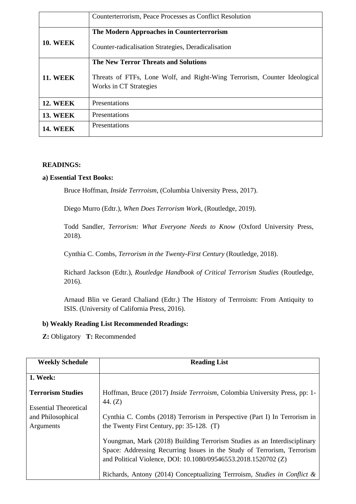|                 | Counterterrorism, Peace Processes as Conflict Resolution                                            |
|-----------------|-----------------------------------------------------------------------------------------------------|
|                 |                                                                                                     |
|                 | The Modern Approaches in Counterterrorism                                                           |
| <b>10. WEEK</b> | Counter-radicalisation Strategies, Deradicalisation                                                 |
|                 | <b>The New Terror Threats and Solutions</b>                                                         |
| <b>11. WEEK</b> | Threats of FTFs, Lone Wolf, and Right-Wing Terrorism, Counter Ideological<br>Works in CT Strategies |
| <b>12. WEEK</b> | Presentations                                                                                       |
| <b>13. WEEK</b> | Presentations                                                                                       |
| <b>14. WEEK</b> | Presentations                                                                                       |

#### **READINGS:**

#### **a) Essential Text Books:**

Bruce Hoffman, *Inside Terrroism*, (Columbia University Press, 2017).

Diego Murro (Edtr.), *When Does Terrorism Work*, (Routledge, 2019).

Todd Sandler, *Terrorism: What Everyone Needs to Know* (Oxford University Press, 2018).

Cynthia C. Combs, *Terrorism in the Twenty-First Century* (Routledge, 2018).

Richard Jackson (Edtr.), *Routledge Handbook of Critical Terrorism Studies* (Routledge, 2016).

Arnaud Blin ve Gerard Chaliand (Edtr.) The History of Terrroism: From Antiquity to ISIS. (University of California Press, 2016).

#### **b) Weakly Reading List Recommended Readings:**

**Z:** Obligatory **T:** Recommended

| <b>Weekly Schedule</b>                                   | <b>Reading List</b>                                                                                                                                                                                                   |
|----------------------------------------------------------|-----------------------------------------------------------------------------------------------------------------------------------------------------------------------------------------------------------------------|
| <b>1. Week:</b>                                          |                                                                                                                                                                                                                       |
| <b>Terrorism Studies</b><br><b>Essential Theoretical</b> | Hoffman, Bruce (2017) <i>Inside Terrroism</i> , Colombia University Press, pp: 1-<br>44. $(Z)$                                                                                                                        |
| and Philosophical<br>Arguments                           | Cynthia C. Combs (2018) Terrorism in Perspective (Part I) In Terrorism in<br>the Twenty First Century, pp: 35-128. (T)                                                                                                |
|                                                          | Youngman, Mark (2018) Building Terrorism Studies as an Interdisciplinary<br>Space: Addressing Recurring Issues in the Study of Terrorism, Terrorism<br>and Political Violence, DOI: 10.1080/09546553.2018.1520702 (Z) |
|                                                          | Richards, Antony (2014) Conceptualizing Terrroism, Studies in Conflict &                                                                                                                                              |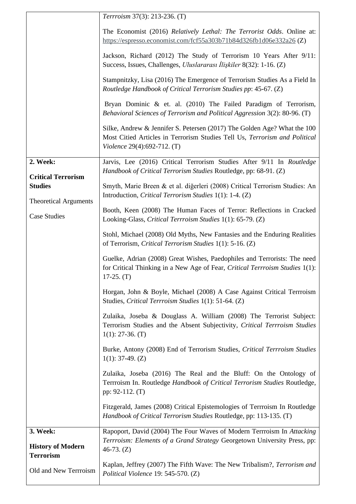|                                                          | Terrroism 37(3): 213-236. (T)                                                                                                                                                         |
|----------------------------------------------------------|---------------------------------------------------------------------------------------------------------------------------------------------------------------------------------------|
|                                                          | The Economist (2016) Relatively Lethal: The Terrorist Odds. Online at:<br>https://espresso.economist.com/fcf55a303b71b84d326fb1d06e332a26 (Z)                                         |
|                                                          | Jackson, Richard (2012) The Study of Terrorism 10 Years After 9/11:<br>Success, Issues, Challenges, <i>Uluslararası İlişkiler</i> 8(32): 1-16. (Z)                                    |
|                                                          | Stampnitzky, Lisa (2016) The Emergence of Terrorism Studies As a Field In<br>Routledge Handbook of Critical Terrorism Studies pp: 45-67. (Z)                                          |
|                                                          | Bryan Dominic & et. al. (2010) The Failed Paradigm of Terrorism,<br>Behavioral Sciences of Terrorism and Political Aggression 3(2): 80-96. (T)                                        |
|                                                          | Silke, Andrew & Jennifer S. Petersen (2017) The Golden Age? What the 100<br>Most Citied Articles in Terrorism Studies Tell Us, Terrorism and Political<br>Violence 29(4):692-712. (T) |
| 2. Week:<br><b>Critical Terrorism</b>                    | Jarvis, Lee (2016) Critical Terrorism Studies After 9/11 In Routledge<br>Handbook of Critical Terrorism Studies Routledge, pp: 68-91. (Z)                                             |
| <b>Studies</b><br><b>Theoretical Arguments</b>           | Smyth, Marie Breen & et al. diğerleri (2008) Critical Terrorism Studies: An<br>Introduction, Critical Terrorism Studies 1(1): 1-4. (Z)                                                |
| <b>Case Studies</b>                                      | Booth, Keen (2008) The Human Faces of Terror: Reflections in Cracked<br>Looking-Glass, Critical Terrroism Studies 1(1): 65-79. (Z)                                                    |
|                                                          | Stohl, Michael (2008) Old Myths, New Fantasies and the Enduring Realities<br>of Terrorism, Critical Terrorism Studies 1(1): 5-16. (Z)                                                 |
|                                                          | Guelke, Adrian (2008) Great Wishes, Paedophiles and Terrorists: The need<br>for Critical Thinking in a New Age of Fear, Critical Terrroism Studies 1(1):<br>$17-25. (T)$              |
|                                                          | Horgan, John & Boyle, Michael (2008) A Case Against Critical Terrroism<br>Studies, Critical Terrroism Studies 1(1): 51-64. (Z)                                                        |
|                                                          | Zulaika, Joseba & Douglass A. William (2008) The Terrorist Subject:<br>Terrorism Studies and the Absent Subjectivity, Critical Terrroism Studies<br>$1(1)$ : 27-36. (T)               |
|                                                          | Burke, Antony (2008) End of Terrorism Studies, Critical Terrroism Studies<br>$1(1)$ : 37-49. (Z)                                                                                      |
|                                                          | Zulaika, Joseba (2016) The Real and the Bluff: On the Ontology of<br>Terrroism In. Routledge Handbook of Critical Terrorism Studies Routledge,<br>pp: $92-112$ . (T)                  |
|                                                          | Fitzgerald, James (2008) Critical Epistemologies of Terrroism In Routledge<br>Handbook of Critical Terrorism Studies Routledge, pp: 113-135. (T)                                      |
| 3. Week:<br><b>History of Modern</b><br><b>Terrorism</b> | Rapoport, David (2004) The Four Waves of Modern Terrroism In Attacking<br>Terrroism: Elements of a Grand Strategy Georgetown University Press, pp:<br>$46-73. (Z)$                    |
| Old and New Terrroism                                    | Kaplan, Jeffrey (2007) The Fifth Wave: The New Tribalism?, Terrorism and<br>Political Violence 19: 545-570. (Z)                                                                       |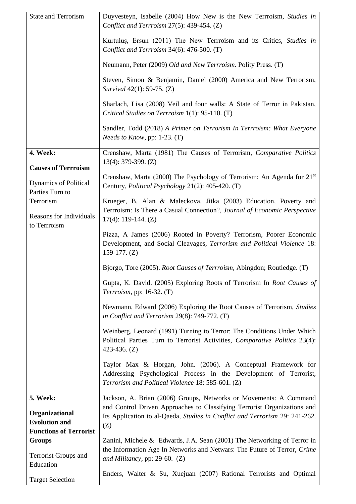| <b>State and Terrorism</b>                           | Duyvesteyn, Isabelle (2004) How New is the New Terrroism, Studies in<br>Conflict and Terrroism 27(5): 439-454. (Z)                                                                      |
|------------------------------------------------------|-----------------------------------------------------------------------------------------------------------------------------------------------------------------------------------------|
|                                                      | Kurtulus, Ersun (2011) The New Terrroism and its Critics, Studies in<br>Conflict and Terrroism 34(6): 476-500. (T)                                                                      |
|                                                      | Neumann, Peter (2009) Old and New Terrroism. Polity Press. (T)                                                                                                                          |
|                                                      | Steven, Simon & Benjamin, Daniel (2000) America and New Terrorism,<br>Survival 42(1): 59-75. (Z)                                                                                        |
|                                                      | Sharlach, Lisa (2008) Veil and four walls: A State of Terror in Pakistan,<br>Critical Studies on Terrroism 1(1): 95-110. (T)                                                            |
|                                                      | Sandler, Todd (2018) A Primer on Terrorism In Terrroism: What Everyone<br><i>Needs to Know</i> , pp: $1-23$ . (T)                                                                       |
| 4. Week:<br><b>Causes of Terrroism</b>               | Crenshaw, Marta (1981) The Causes of Terrorism, Comparative Politics<br>$13(4)$ : 379-399. (Z)                                                                                          |
| Dynamics of Political<br>Parties Turn to             | Crenshaw, Marta (2000) The Psychology of Terrorism: An Agenda for $21st$<br>Century, Political Psychology 21(2): 405-420. (T)                                                           |
| Terrorism<br>Reasons for Individuals<br>to Terrroism | Krueger, B. Alan & Maleckova, Jitka (2003) Education, Poverty and<br>Terrroism: Is There a Casual Connection?, Journal of Economic Perspective<br>$17(4)$ : 119-144. (Z)                |
|                                                      | Pizza, A James (2006) Rooted in Poverty? Terrorism, Poorer Economic<br>Development, and Social Cleavages, Terrorism and Political Violence 18:<br>159-177. $(Z)$                        |
|                                                      | Bjorgo, Tore (2005). Root Causes of Terrroism, Abingdon; Routledge. (T)                                                                                                                 |
|                                                      | Gupta, K. David. (2005) Exploring Roots of Terrorism In Root Causes of<br>Terrroism, pp: 16-32. (T)                                                                                     |
|                                                      | Newmann, Edward (2006) Exploring the Root Causes of Terrorism, Studies<br>in Conflict and Terrorism 29(8): 749-772. (T)                                                                 |
|                                                      | Weinberg, Leonard (1991) Turning to Terror: The Conditions Under Which<br>Political Parties Turn to Terrorist Activities, Comparative Politics 23(4):<br>423-436. $(Z)$                 |
|                                                      | Taylor Max & Horgan, John. (2006). A Conceptual Framework for<br>Addressing Psychological Process in the Development of Terrorist,<br>Terrorism and Political Violence 18: 585-601. (Z) |
| 5. Week:                                             | Jackson, A. Brian (2006) Groups, Networks or Movements: A Command                                                                                                                       |
| Organizational<br><b>Evolution and</b>               | and Control Driven Approaches to Classifying Terrorist Organizations and<br>Its Application to al-Qaeda, Studies in Conflict and Terrorism 29: 241-262.<br>(Z)                          |
| <b>Functions of Terrorist</b><br><b>Groups</b>       | Zanini, Michele & Edwards, J.A. Sean (2001) The Networking of Terror in                                                                                                                 |
| <b>Terrorist Groups and</b><br>Education             | the Information Age In Networks and Netwars: The Future of Terror, Crime<br>and Militancy, pp: 29-60. $(Z)$                                                                             |
| <b>Target Selection</b>                              | Enders, Walter & Su, Xuejuan (2007) Rational Terrorists and Optimal                                                                                                                     |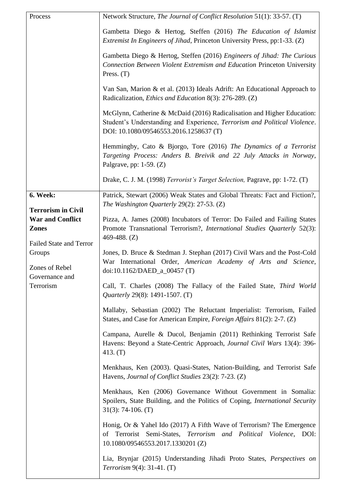| Process                                                                   | Network Structure, The Journal of Conflict Resolution 51(1): 33-57. (T)                                                                                                                        |
|---------------------------------------------------------------------------|------------------------------------------------------------------------------------------------------------------------------------------------------------------------------------------------|
|                                                                           | Gambetta Diego & Hertog, Steffen (2016) The Education of Islamist<br>Extremist In Engineers of Jihad, Princeton University Press, pp:1-33. (Z)                                                 |
|                                                                           | Gambetta Diego & Hertog, Steffen (2016) Engineers of Jihad: The Curious<br>Connection Between Violent Extremism and Education Princeton University<br>Press. $(T)$                             |
|                                                                           | Van San, Marion & et al. (2013) Ideals Adrift: An Educational Approach to<br>Radicalization, <i>Ethics and Education</i> 8(3): 276-289. (Z)                                                    |
|                                                                           | McGlynn, Catherine & McDaid (2016) Radicalisation and Higher Education:<br>Student's Understanding and Experience, Terrorism and Political Violence.<br>DOI: 10.1080/09546553.2016.1258637 (T) |
|                                                                           | Hemmingby, Cato & Bjorgo, Tore (2016) The Dynamics of a Terrorist<br>Targeting Process: Anders B. Breivik and 22 July Attacks in Norway,<br>Palgrave, pp: $1-59$ . $(Z)$                       |
|                                                                           | Drake, C. J. M. (1998) Terrorist's Target Selection, Pagrave, pp: 1-72. (T)                                                                                                                    |
| 6. Week:<br><b>Terrorism in Civil</b>                                     | Patrick, Stewart (2006) Weak States and Global Threats: Fact and Fiction?,<br>The Washington Quarterly $29(2)$ : 27-53. (Z)                                                                    |
| <b>War and Conflict</b><br><b>Zones</b><br><b>Failed State and Terror</b> | Pizza, A. James (2008) Incubators of Terror: Do Failed and Failing States<br>Promote Transnational Terrorism?, International Studies Quarterly 52(3):<br>469-488. $(Z)$                        |
| Groups<br>Zones of Rebel<br>Governance and                                | Jones, D. Bruce & Stedman J. Stephan (2017) Civil Wars and the Post-Cold<br>War International Order, American Academy of Arts and Science,<br>doi:10.1162/DAED_a_00457 (T)                     |
| Terrorism                                                                 | Call, T. Charles (2008) The Fallacy of the Failed State, Third World<br><i>Quarterly</i> 29(8): 1491-1507. (T)                                                                                 |
|                                                                           | Mallaby, Sebastian (2002) The Reluctant Imperialist: Terrorism, Failed<br>States, and Case for American Empire, <i>Foreign Affairs</i> 81(2): 2-7. (Z)                                         |
|                                                                           | Campana, Aurelle & Ducol, Benjamin (2011) Rethinking Terrorist Safe<br>Havens: Beyond a State-Centric Approach, Journal Civil Wars 13(4): 396-<br>413. $(T)$                                   |
|                                                                           | Menkhaus, Ken (2003). Quasi-States, Nation-Building, and Terrorist Safe<br>Havens, Journal of Conflict Studies 23(2): 7-23. (Z)                                                                |
|                                                                           | Menkhaus, Ken (2006) Governance Without Government in Somalia:<br>Spoilers, State Building, and the Politics of Coping, International Security<br>$31(3)$ : 74-106. (T)                        |
|                                                                           | Honig, Or & Yahel Ido (2017) A Fifth Wave of Terrorism? The Emergence<br>Terrorist Semi-States, Terrorism and Political Violence, DOI:<br>of<br>10.1080/09546553.2017.1330201 (Z)              |
|                                                                           | Lia, Brynjar (2015) Understanding Jihadi Proto States, Perspectives on<br><i>Terrorism</i> 9(4): $31-41$ . (T)                                                                                 |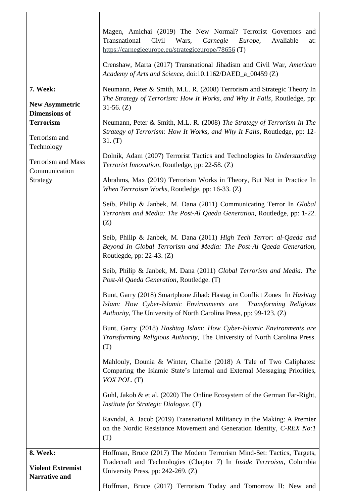|                                                           | Magen, Amichai (2019) The New Normal? Terrorist Governors and                                                                                                                                                         |
|-----------------------------------------------------------|-----------------------------------------------------------------------------------------------------------------------------------------------------------------------------------------------------------------------|
|                                                           | Transnational<br>Civil<br>Wars,<br>Carnegie<br>Avaliable<br>Europe,<br>at:<br>https://carnegieeurope.eu/strategiceurope/78656 (T)                                                                                     |
|                                                           | Crenshaw, Marta (2017) Transnational Jihadism and Civil War, American<br>Academy of Arts and Science, doi:10.1162/DAED_a_00459 (Z)                                                                                    |
| 7. Week:<br><b>New Asymmetric</b><br><b>Dimensions of</b> | Neumann, Peter & Smith, M.L. R. (2008) Terrorism and Strategic Theory In<br>The Strategy of Terrorism: How It Works, and Why It Fails, Routledge, pp:<br>$31-56. (Z)$                                                 |
| <b>Terrorism</b><br>Terrorism and<br>Technology           | Neumann, Peter & Smith, M.L. R. (2008) The Strategy of Terrorism In The<br>Strategy of Terrorism: How It Works, and Why It Fails, Routledge, pp: 12-<br>31. (T)                                                       |
| <b>Terrorism and Mass</b><br>Communication                | Dolnik, Adam (2007) Terrorist Tactics and Technologies In Understanding<br>Terrorist Innovation, Routledge, pp: 22-58. (Z)                                                                                            |
| Strategy                                                  | Abrahms, Max (2019) Terrorism Works in Theory, But Not in Practice In<br>When Terrroism Works, Routledge, pp: 16-33. (Z)                                                                                              |
|                                                           | Seib, Philip & Janbek, M. Dana (2011) Communicating Terror In Global<br>Terrorism and Media: The Post-Al Qaeda Generation, Routledge, pp: 1-22.<br>(Z)                                                                |
|                                                           | Seib, Philip & Janbek, M. Dana (2011) High Tech Terror: al-Qaeda and<br>Beyond In Global Terrorism and Media: The Post-Al Qaeda Generation,<br>Routlegde, pp: $22-43$ . $(Z)$                                         |
|                                                           | Seib, Philip & Janbek, M. Dana (2011) Global Terrorism and Media: The<br>Post-Al Qaeda Generation, Routledge. (T)                                                                                                     |
|                                                           | Bunt, Garry (2018) Smartphone Jihad: Hastag in Conflict Zones In Hashtag<br>Islam: How Cyber-Islamic Environments are<br>Transforming Religious<br>Authority, The University of North Carolina Press, pp: 99-123. (Z) |
|                                                           | Bunt, Garry (2018) Hashtag Islam: How Cyber-Islamic Environments are<br>Transforming Religious Authority, The University of North Carolina Press.<br>(T)                                                              |
|                                                           | Mahlouly, Dounia & Winter, Charlie (2018) A Tale of Two Caliphates:<br>Comparing the Islamic State's Internal and External Messaging Priorities,<br>VOX POL. (T)                                                      |
|                                                           | Guhl, Jakob & et al. (2020) The Online Ecosystem of the German Far-Right,<br>Institute for Strategic Dialogue. (T)                                                                                                    |
|                                                           | Ravndal, A. Jacob (2019) Transnational Militancy in the Making: A Premier<br>on the Nordic Resistance Movement and Generation Identity, C-REX No:1<br>(T)                                                             |
| 8. Week:                                                  | Hoffman, Bruce (2017) The Modern Terrorism Mind-Set: Tactics, Targets,                                                                                                                                                |
| <b>Violent Extremist</b><br><b>Narrative and</b>          | Tradecraft and Technologies (Chapter 7) In Inside Terrroism, Colombia<br>University Press, pp: 242-269. (Z)                                                                                                           |
|                                                           | Hoffman, Bruce (2017) Terrorism Today and Tomorrow II: New and                                                                                                                                                        |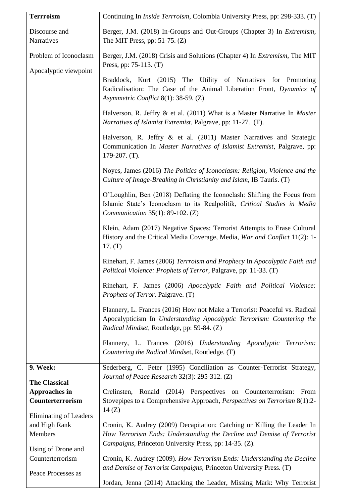| <b>Terrroism</b>                                                 | Continuing In <i>Inside Terrroism</i> , Colombia University Press, pp: 298-333. (T)                                                                                                                         |
|------------------------------------------------------------------|-------------------------------------------------------------------------------------------------------------------------------------------------------------------------------------------------------------|
| Discourse and<br>Narratives                                      | Berger, J.M. (2018) In-Groups and Out-Groups (Chapter 3) In Extremism,<br>The MIT Press, pp: $51-75$ . (Z)                                                                                                  |
| Problem of Iconoclasm<br>Apocalyptic viewpoint                   | Berger, J.M. (2018) Crisis and Solutions (Chapter 4) In <i>Extremism</i> , The MIT<br>Press, pp: 75-113. (T)                                                                                                |
|                                                                  | Braddock, Kurt (2015) The Utility of Narratives for Promoting<br>Radicalisation: The Case of the Animal Liberation Front, Dynamics of<br>Asymmetric Conflict 8(1): 38-59. (Z)                               |
|                                                                  | Halverson, R. Jeffry & et al. (2011) What is a Master Narrative In Master<br>Narratives of Islamist Extremist, Palgrave, pp: 11-27. (T).                                                                    |
|                                                                  | Halverson, R. Jeffry & et al. (2011) Master Narratives and Strategic<br>Communication In Master Narratives of Islamist Extremist, Palgrave, pp:<br>$179-207.$ (T).                                          |
|                                                                  | Noyes, James (2016) The Politics of Iconoclasm: Religion, Violence and the<br>Culture of Image-Breaking in Christianity and Islam, IB Tauris. (T)                                                           |
|                                                                  | O'Loughlin, Ben (2018) Deflating the Iconoclash: Shifting the Focus from<br>Islamic State's Iconoclasm to its Realpolitik, Critical Studies in Media<br><i>Communication</i> 35(1): 89-102. (Z)             |
|                                                                  | Klein, Adam (2017) Negative Spaces: Terrorist Attempts to Erase Cultural<br>History and the Critical Media Coverage, Media, War and Conflict 11(2): 1-<br>17. (T)                                           |
|                                                                  | Rinehart, F. James (2006) Terrroism and Prophecy In Apocalyptic Faith and<br>Political Violence: Prophets of Terror, Palgrave, pp: 11-33. (T)                                                               |
|                                                                  | Rinehart, F. James (2006) Apocalyptic Faith and Political Violence:<br>Prophets of Terror. Palgrave. (T)                                                                                                    |
|                                                                  | Flannery, L. Frances (2016) How not Make a Terrorist: Peaceful vs. Radical<br>Apocalypticism In Understanding Apocalyptic Terrorism: Countering the<br>Radical Mindset, Routledge, pp: 59-84. (Z)           |
|                                                                  | Flannery, L. Frances (2016) Understanding Apocalyptic Terrorism:<br>Countering the Radical Mindset, Routledge. (T)                                                                                          |
| 9. Week:                                                         | Sederberg, C. Peter (1995) Conciliation as Counter-Terrorist Strategy,<br>Journal of Peace Research 32(3): 295-312. (Z)                                                                                     |
| <b>The Classical</b><br><b>Approaches in</b><br>Counterterrorism | Crelinsten, Ronald (2014) Perspectives on Counterterrorism: From<br>Stovepipes to a Comprehensive Approach, Perspectives on Terrorism 8(1):2-<br>14(Z)                                                      |
| Eliminating of Leaders<br>and High Rank<br>Members               | Cronin, K. Audrey (2009) Decapitation: Catching or Killing the Leader In<br>How Terrorism Ends: Understanding the Decline and Demise of Terrorist<br>Campaigns, Princeton University Press, pp: 14-35. (Z). |
| Using of Drone and<br>Counterterrorism                           | Cronin, K. Audrey (2009). How Terrorism Ends: Understanding the Decline<br>and Demise of Terrorist Campaigns, Princeton University Press. (T)                                                               |
| Peace Processes as                                               | Jordan, Jenna (2014) Attacking the Leader, Missing Mark: Why Terrorist                                                                                                                                      |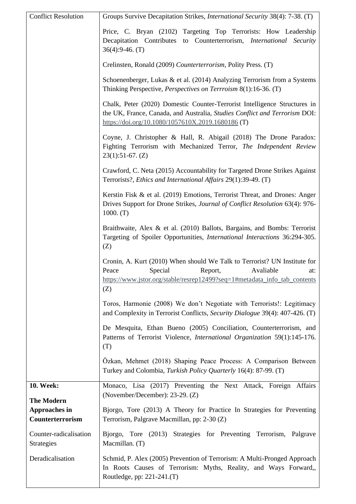| <b>Conflict Resolution</b>                                    | Groups Survive Decapitation Strikes, <i>International Security</i> 38(4): 7-38. (T)                                                                                                                              |
|---------------------------------------------------------------|------------------------------------------------------------------------------------------------------------------------------------------------------------------------------------------------------------------|
|                                                               | Price, C. Bryan (2102) Targeting Top Terrorists: How Leadership<br>Decapitation Contributes<br>to Counterterrorism, <i>International Security</i><br>$36(4):9-46. (T)$                                           |
|                                                               | Crelinsten, Ronald (2009) Counterterrorism, Polity Press. (T)                                                                                                                                                    |
|                                                               | Schoenenberger, Lukas & et al. $(2014)$ Analyzing Terrorism from a Systems<br>Thinking Perspective, <i>Perspectives on Terrroism</i> 8(1):16-36. (T)                                                             |
|                                                               | Chalk, Peter (2020) Domestic Counter-Terrorist Intelligence Structures in<br>the UK, France, Canada, and Australia, Studies Conflict and Terrorism DOI:<br>https://doi.org/10.1080/1057610X.2019.1680186 (T)     |
|                                                               | Coyne, J. Christopher & Hall, R. Abigail (2018) The Drone Paradox:<br>Fighting Terrorism with Mechanized Terror, The Independent Review<br>$23(1):51-67. (Z)$                                                    |
|                                                               | Crawford, C. Neta (2015) Accountability for Targeted Drone Strikes Against<br>Terrorists?, Ethics and International Affairs 29(1):39-49. (T)                                                                     |
|                                                               | Kerstin Fisk & et al. (2019) Emotions, Terrorist Threat, and Drones: Anger<br>Drives Support for Drone Strikes, Journal of Conflict Resolution 63(4): 976-<br>1000. (T)                                          |
|                                                               | Braithwaite, Alex & et al. (2010) Ballots, Bargains, and Bombs: Terrorist<br>Targeting of Spoiler Opportunities, International Interactions 36:294-305.<br>(Z)                                                   |
|                                                               | Cronin, A. Kurt (2010) When should We Talk to Terrorist? UN Institute for<br>Special<br>Avaliable<br>Peace<br>Report,<br>at:<br>https://www.jstor.org/stable/resrep12499?seq=1#metadata_info_tab_contents<br>(Z) |
|                                                               | Toros, Harmonie (2008) We don't Negotiate with Terrorists!: Legitimacy<br>and Complexity in Terrorist Conflicts, Security Dialogue 39(4): 407-426. (T)                                                           |
|                                                               | De Mesquita, Ethan Bueno (2005) Conciliation, Counterterrorism, and<br>Patterns of Terrorist Violence, International Organization 59(1):145-176.<br>(T)                                                          |
|                                                               | Özkan, Mehmet (2018) Shaping Peace Process: A Comparison Between<br>Turkey and Colombia, Turkish Policy Quarterly 16(4): 87-99. (T)                                                                              |
| 10. Week:                                                     | Monaco, Lisa (2017) Preventing the Next Attack, Foreign Affairs<br>(November/December): 23-29. (Z)                                                                                                               |
| <b>The Modern</b><br><b>Approaches in</b><br>Counterterrorism | Bjorgo, Tore (2013) A Theory for Practice In Strategies for Preventing<br>Terrorism, Palgrave Macmillan, pp: 2-30 (Z)                                                                                            |
| Counter-radicalisation<br><b>Strategies</b>                   | Bjorgo, Tore (2013) Strategies for Preventing Terrorism, Palgrave<br>Macmillan. (T)                                                                                                                              |
| Deradicalisation                                              | Schmid, P. Alex (2005) Prevention of Terrorism: A Multi-Pronged Approach<br>In Roots Causes of Terrorism: Myths, Reality, and Ways Forward,,<br>Routledge, pp: 221-241.(T)                                       |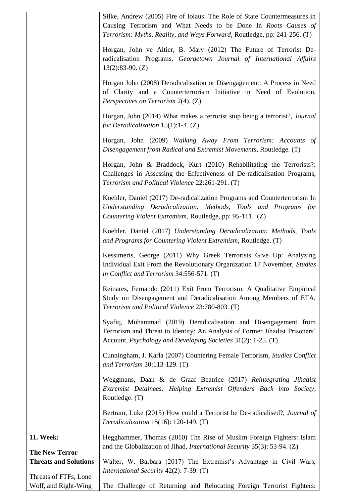|                                               | Silke, Andrew (2005) Fire of Iolaus: The Role of State Countermeasures in<br>Causing Terrorism and What Needs to be Done In Roots Causes of<br>Terrorism: Myths, Reality, and Ways Forward, Routledge, pp: 241-256. (T) |
|-----------------------------------------------|-------------------------------------------------------------------------------------------------------------------------------------------------------------------------------------------------------------------------|
|                                               | Horgan, John ve Altier, B. Mary (2012) The Future of Terrorist De-<br>radicalisation Programs, Georgetown Journal of International Affairs<br>$13(2):83-90. (Z)$                                                        |
|                                               | Horgan John (2008) Deradicalisation or Disengagement: A Process in Need<br>of Clarity and a Counterterrorism Initiative in Need of Evolution,<br>Perspectives on Terrorism 2(4). (Z)                                    |
|                                               | Horgan, John (2014) What makes a terrorist stop being a terrorist?, Journal<br>for Deradicalization $15(1)$ :1-4. (Z)                                                                                                   |
|                                               | Horgan, John (2009) Walking Away From Terrorism: Accounts of<br>Disengagement from Radical and Extremist Movements, Routledge. (T)                                                                                      |
|                                               | Horgan, John & Braddock, Kurt (2010) Rehabilitating the Terrorists?:<br>Challenges in Assessing the Effectiveness of De-radicalisation Programs,<br>Terrorism and Political Violence 22:261-291. (T)                    |
|                                               | Koehler, Daniel (2017) De-radicalization Programs and Counterterrorism In<br>Understanding Deradicalization: Methods, Tools and Programs for<br>Countering Violent Extremism, Routledge, pp: 95-111. (Z)                |
|                                               | Koehler, Daniel (2017) Understanding Deradicalization: Methods, Tools<br>and Programs for Countering Violent Extremism, Routledge. (T)                                                                                  |
|                                               | Kessimeris, George (2011) Why Greek Terrorists Give Up: Analyzing<br>Individual Exit From the Revolutionary Organization 17 November, Studies<br>in Conflict and Terrorism $34:556-571$ . (T)                           |
|                                               | Reinares, Fernando (2011) Exit From Terrorism: A Qualitative Empirical<br>Study on Disengagement and Deradicalisation Among Members of ETA,<br>Terrorism and Political Violence 23:780-803. (T)                         |
|                                               | Syafiq, Muhammad (2019) Deradicalisation and Disengagement from<br>Terrorism and Threat to Identity: An Analysis of Former Jihadist Prisoners'<br>Account, <i>Psychology and Developing Societies</i> 31(2): 1-25. (T)  |
|                                               | Cunningham, J. Karla (2007) Countering Female Terrorism, Studies Conflict<br>and Terrorism 30:113-129. (T)                                                                                                              |
|                                               | Weggmans, Daan & de Graaf Beatrice (2017) Reintegrating Jihadist<br>Extremist Detainees: Helping Extremist Offenders Back into Society,<br>Routledge. (T)                                                               |
|                                               | Bertram, Luke (2015) How could a Terrorist be De-radicalised?, Journal of<br>Deradicalization $15(16)$ : 120-149. (T)                                                                                                   |
| 11. Week:<br><b>The New Terror</b>            | Hegghammer, Thomas (2010) The Rise of Muslim Foreign Fighters: Islam<br>and the Globalization of Jihad, <i>International Security</i> 35(3): 53-94. (Z)                                                                 |
| <b>Threats and Solutions</b>                  | Walter, W. Barbara (2017) The Extremist's Advantage in Civil Wars,<br>International Security 42(2): 7-39. (T)                                                                                                           |
| Threats of FTFs, Lone<br>Wolf, and Right-Wing | The Challenge of Returning and Relocating Foreign Terrorist Fighters:                                                                                                                                                   |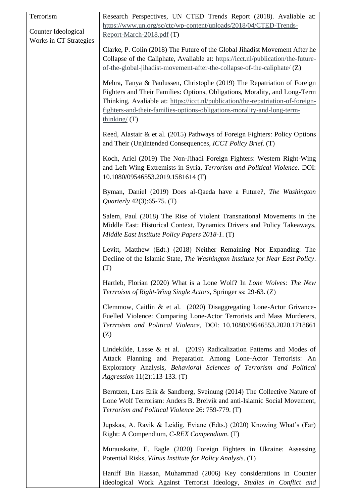| Terrorism              | Research Perspectives, UN CTED Trends Report (2018). Avaliable at:                                                                                                                                                                                                                                                                      |
|------------------------|-----------------------------------------------------------------------------------------------------------------------------------------------------------------------------------------------------------------------------------------------------------------------------------------------------------------------------------------|
| Counter Ideological    | https://www.un.org/sc/ctc/wp-content/uploads/2018/04/CTED-Trends-<br>Report-March-2018.pdf (T)                                                                                                                                                                                                                                          |
| Works in CT Strategies | Clarke, P. Colin (2018) The Future of the Global Jihadist Movement After he<br>Collapse of the Caliphate, Avaliable at: https://icct.nl/publication/the-future-<br>of-the-global-jihadist-movement-after-the-collapse-of-the-caliphate/ $(Z)$                                                                                           |
|                        | Mehra, Tanya & Paulussen, Christophe (2019) The Repatriation of Foreign<br>Fighters and Their Families: Options, Obligations, Morality, and Long-Term<br>Thinking, Avaliable at: https://icct.nl/publication/the-repatriation-of-foreign-<br>fighters-and-their-families-options-obligations-morality-and-long-term-<br>thinking/ $(T)$ |
|                        | Reed, Alastair & et al. (2015) Pathways of Foreign Fighters: Policy Options<br>and Their (Un)Intended Consequences, ICCT Policy Brief. (T)                                                                                                                                                                                              |
|                        | Koch, Ariel (2019) The Non-Jihadi Foreign Fighters: Western Right-Wing<br>and Left-Wing Extremists in Syria, Terrorism and Political Violence. DOI:<br>10.1080/09546553.2019.1581614(T)                                                                                                                                                 |
|                        | Byman, Daniel (2019) Does al-Qaeda have a Future?, The Washington<br><i>Quarterly</i> $42(3):65-75$ . (T)                                                                                                                                                                                                                               |
|                        | Salem, Paul (2018) The Rise of Violent Transnational Movements in the<br>Middle East: Historical Context, Dynamics Drivers and Policy Takeaways,<br>Middle East Institute Policy Papers 2018-1. (T)                                                                                                                                     |
|                        | Levitt, Matthew (Edt.) (2018) Neither Remaining Nor Expanding: The<br>Decline of the Islamic State, The Washington Institute for Near East Policy.<br>(T)                                                                                                                                                                               |
|                        | Hartleb, Florian (2020) What is a Lone Wolf? In Lone Wolves: The New<br>Terrroism of Right-Wing Single Actors, Springer ss: 29-63. (Z)                                                                                                                                                                                                  |
|                        | Clemmow, Caitlin & et al. (2020) Disaggregating Lone-Actor Grivance-<br>Fuelled Violence: Comparing Lone-Actor Terrorists and Mass Murderers,<br>Terrroism and Political Violence, DOI: 10.1080/09546553.2020.1718661<br>(Z)                                                                                                            |
|                        | Lindekilde, Lasse & et al. $(2019)$ Radicalization Patterns and Modes of<br>Attack Planning and Preparation Among Lone-Actor Terrorists: An<br>Exploratory Analysis, Behavioral Sciences of Terrorism and Political<br><i>Aggression</i> 11(2):113-133. (T)                                                                             |
|                        | Berntzen, Lars Erik & Sandberg, Sveinung (2014) The Collective Nature of<br>Lone Wolf Terrorism: Anders B. Breivik and anti-Islamic Social Movement,<br>Terrorism and Political Violence 26: 759-779. (T)                                                                                                                               |
|                        | Jupskas, A. Ravik & Leidig, Eviane (Edts.) (2020) Knowing What's (Far)<br>Right: A Compendium, C-REX Compendium. (T)                                                                                                                                                                                                                    |
|                        | Murauskaite, E. Eagle (2020) Foreign Fighters in Ukraine: Assessing<br>Potential Risks, Vilnus Institute for Policy Analysis. (T)                                                                                                                                                                                                       |
|                        | Haniff Bin Hassan, Muhammad (2006) Key considerations in Counter<br>ideological Work Against Terrorist Ideology, Studies in Conflict and                                                                                                                                                                                                |